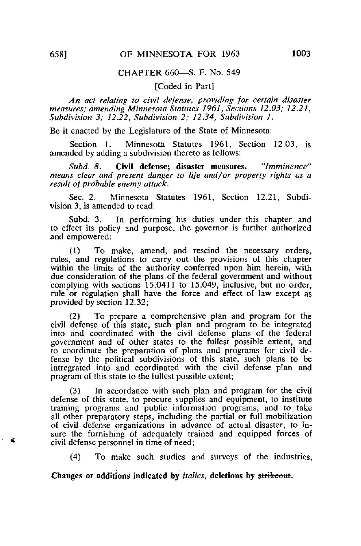## CHAPTER 660—S. F. No. 549

[Coded in Part]

An act relating to civil defense; providing for certain disaster measures; amending Minnesota Statutes 1961, Sections 12.03; 12.21, Subdivision 3; 12.22, Subdivision 2; 12.34, Subdivision 1.

Be it enacted by the Legislature of the State of Minnesota:

Section 1. Minnesota Statutes 1961, Section 12.03, is amended by adding a subdivision thereto as follows:

Subd. 8. Civil defense; disaster measures. "Imminence" means clear and present danger to life and/or property rights as a result of probable enemy attack.

Sec. 2. Minnesota Statutes 1961, Section 12.21, Subdivision 3, is amended to read:

Subd. 3. In performing his duties under this chapter and to effect its policy and purpose, the governor is further authorized and empowered:

(1) To make, amend, and rescind the necessary orders, rules, and regulations to carry out the provisions of this chapter within the limits of the authority conferred upon him herein, with due consideration of the plans of the federal government and without complying with sections 15.0411 to 15.049, inclusive, but no order, rule or regulation shall have the force and effect of law except as provided by section 12.32;

(2) To prepare a comprehensive plan and program for the civil defense of this state, such plan and program to be integrated into and coordinated with the civil defense plans of the federal government and of other states to the fullest possible extent, and to coordinate the preparation of plans and programs for civil defense by the political subdivisions of this state, such plans to be integrated into and coordinated with the civil defense plan and program of this state to the fullest possible extent;

In accordance with such plan and program for the civil defense of this state, to procure supplies and equipment, to institute training programs and public information programs, and to take all other preparatory steps, including the partial or full mobilization of civil defense organizations in advance of actual disaster, to insure the furnishing of adequately trained and equipped forces of civil defense personnel in time of need;

(4) To make such studies and surveys of the industries,

Changes or additions indicated by italics, deletions by strikeout.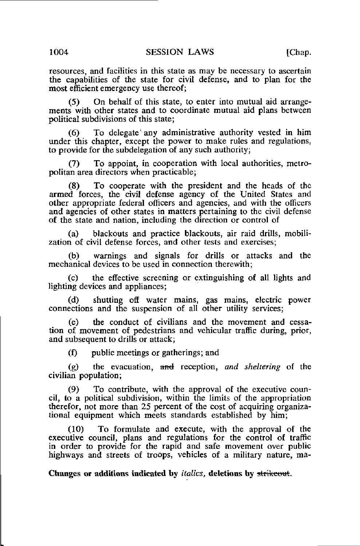resources, and facilities in this state as may be necessary to ascertain the capabilities of the state for civil defense, and to plan for the most efficient emergency use thereof;

(5) On behalf of this state, to enter into mutual aid arrangements with other states and to coordinate mutual aid plans between political subdivisions of this state;

(6) To delegate'any administrative authority vested in him under this chapter, except the power to make rules and regulations, to provide for the subdelegation of any such authority;

(7) To appoint, in cooperation with local authorities, metropolitan area directors when practicable;

(8) To cooperate with the president and the heads of the armed forces, the civil defense agency of the United States and other appropriate federal officers and agencies, and with the officers and agencies of other states in matters pertaining to the civil defense of the state and nation, including the direction or control of

(a) blackouts and practice blackouts, air raid drills, mobilization of civil defense forces, and other tests and exercises;

(b) warnings and signals for drills or attacks and the mechanical devices to be used in connection therewith;

(c) the effective screening or extinguishing of all lights and lighting devices and appliances;

(d) shutting off water mains, gas mains, electric power connections and the suspension of all other utility services;

(e) the conduct of civilians and the movement and cessation of movement of pedestrians and vehicular traffic during, prior, and subsequent to drills or attack;

(f) public meetings or gatherings; and

(g) the evacuation, and reception, and sheltering of the civilian population;

(9) To contribute, with the approval of the executive council, to a political subdivision, within the limits of the appropriation therefor, not more than 25 percent of the cost of acquiring organizational equipment which meets standards established by him;

(10) To formulate and execute, with the approval of the executive council, plans and regulations for the control of traffic in order to provide for the rapid and safe movement over public highways and streets of troops, vehicles of a military nature, ma-

Changes or additions indicated by italics, deletions by strikeout.